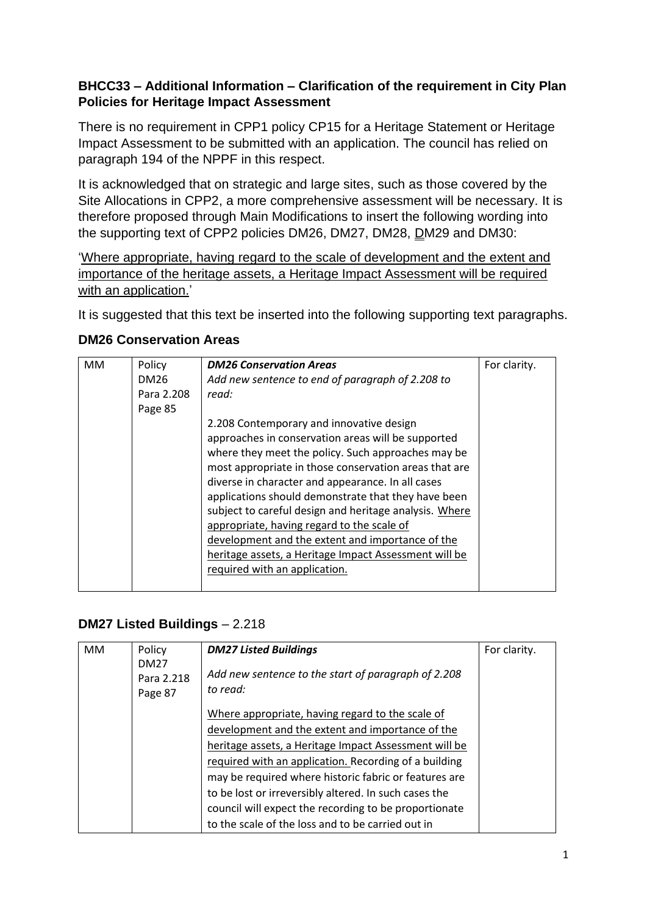### **BHCC33 – Additional Information – Clarification of the requirement in City Plan Policies for Heritage Impact Assessment**

There is no requirement in CPP1 policy CP15 for a Heritage Statement or Heritage Impact Assessment to be submitted with an application. The council has relied on paragraph 194 of the NPPF in this respect.

It is acknowledged that on strategic and large sites, such as those covered by the Site Allocations in CPP2, a more comprehensive assessment will be necessary. It is therefore proposed through Main Modifications to insert the following wording into the supporting text of CPP2 policies DM26, DM27, DM28, DM29 and DM30:

'Where appropriate, having regard to the scale of development and the extent and importance of the heritage assets, a Heritage Impact Assessment will be required with an application.'

It is suggested that this text be inserted into the following supporting text paragraphs.

#### **DM26 Conservation Areas**

| <b>MM</b> | Policy     | <b>DM26 Conservation Areas</b>                         | For clarity. |
|-----------|------------|--------------------------------------------------------|--------------|
|           | DM26       | Add new sentence to end of paragraph of 2.208 to       |              |
|           | Para 2.208 | read:                                                  |              |
|           | Page 85    |                                                        |              |
|           |            | 2.208 Contemporary and innovative design               |              |
|           |            | approaches in conservation areas will be supported     |              |
|           |            | where they meet the policy. Such approaches may be     |              |
|           |            | most appropriate in those conservation areas that are  |              |
|           |            | diverse in character and appearance. In all cases      |              |
|           |            | applications should demonstrate that they have been    |              |
|           |            | subject to careful design and heritage analysis. Where |              |
|           |            | appropriate, having regard to the scale of             |              |
|           |            | development and the extent and importance of the       |              |
|           |            | heritage assets, a Heritage Impact Assessment will be  |              |
|           |            | required with an application.                          |              |
|           |            |                                                        |              |

### **DM27 Listed Buildings** – 2.218

| <b>MM</b> | Policy                               | <b>DM27 Listed Buildings</b>                                    | For clarity. |
|-----------|--------------------------------------|-----------------------------------------------------------------|--------------|
|           | <b>DM27</b><br>Para 2.218<br>Page 87 | Add new sentence to the start of paragraph of 2.208<br>to read: |              |
|           |                                      | Where appropriate, having regard to the scale of                |              |
|           |                                      | development and the extent and importance of the                |              |
|           |                                      | heritage assets, a Heritage Impact Assessment will be           |              |
|           |                                      | required with an application. Recording of a building           |              |
|           |                                      | may be required where historic fabric or features are           |              |
|           |                                      | to be lost or irreversibly altered. In such cases the           |              |
|           |                                      | council will expect the recording to be proportionate           |              |
|           |                                      | to the scale of the loss and to be carried out in               |              |